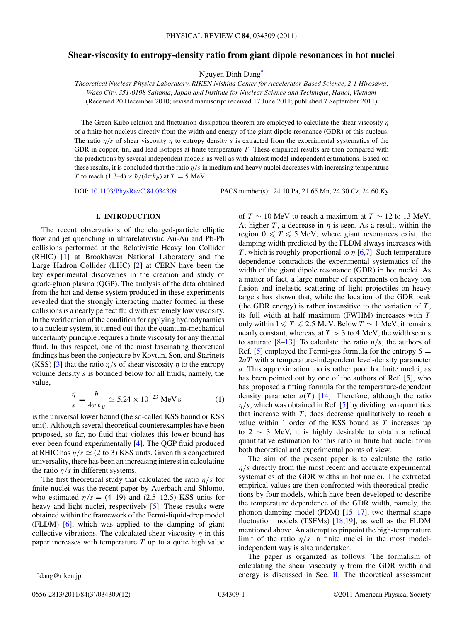# <span id="page-0-0"></span>**Shear-viscosity to entropy-density ratio from giant dipole resonances in hot nuclei**

Nguyen Dinh Dang\*

*Theoretical Nuclear Physics Laboratory, RIKEN Nishina Center for Accelerator-Based Science, 2-1 Hirosawa, Wako City, 351-0198 Saitama, Japan and Institute for Nuclear Science and Technique, Hanoi, Vietnam* (Received 20 December 2010; revised manuscript received 17 June 2011; published 7 September 2011)

The Green-Kubo relation and fluctuation-dissipation theorem are employed to calculate the shear viscosity *η* of a finite hot nucleus directly from the width and energy of the giant dipole resonance (GDR) of this nucleus. The ratio *η/s* of shear viscosity *η* to entropy density *s* is extracted from the experimental systematics of the GDR in copper, tin, and lead isotopes at finite temperature *T*. These empirical results are then compared with the predictions by several independent models as well as with almost model-independent estimations. Based on these results, it is concluded that the ratio *η/s* in medium and heavy nuclei decreases with increasing temperature *T* to reach (1.3–4)  $\times \hbar/(4\pi k_B)$  at  $T = 5$  MeV.

DOI: [10.1103/PhysRevC.84.034309](http://dx.doi.org/10.1103/PhysRevC.84.034309) PACS number(s): 24*.*10*.*Pa, 21*.*65*.*Mn, 24*.*30*.*Cz, 24*.*60*.*Ky

# **I. INTRODUCTION**

The recent observations of the charged-particle elliptic flow and jet quenching in ultrarelativistic Au-Au and Pb-Pb collisions performed at the Relativistic Heavy Ion Collider (RHIC) [\[1\]](#page-10-0) at Brookhaven National Laboratory and the Large Hadron Collider (LHC) [\[2\]](#page-10-0) at CERN have been the key experimental discoveries in the creation and study of quark-gluon plasma (QGP). The analysis of the data obtained from the hot and dense system produced in these experiments revealed that the strongly interacting matter formed in these collisions is a nearly perfect fluid with extremely low viscosity. In the verification of the condition for applying hydrodynamics to a nuclear system, it turned out that the quantum-mechanical uncertainty principle requires a finite viscosity for any thermal fluid. In this respect, one of the most fascinating theoretical findings has been the conjecture by Kovtun, Son, and Starinets (KSS) [\[3\]](#page-10-0) that the ratio  $\eta/s$  of shear viscosity  $\eta$  to the entropy volume density *s* is bounded below for all fluids, namely, the value,

$$
\frac{\eta}{s} = \frac{\hbar}{4\pi k_B} \simeq 5.24 \times 10^{-23} \text{ MeV s}
$$
 (1)

is the universal lower bound (the so-called KSS bound or KSS unit). Although several theoretical counterexamples have been proposed, so far, no fluid that violates this lower bound has ever been found experimentally [\[4\]](#page-10-0). The QGP fluid produced at RHIC has  $\eta/s \simeq (2 \text{ to } 3)$  KSS units. Given this conjectured universality, there has been an increasing interest in calculating the ratio  $\eta/s$  in different systems.

The first theoretical study that calculated the ratio  $\eta/s$  for finite nuclei was the recent paper by Auerbach and Shlomo, who estimated  $\eta/s = (4-19)$  and  $(2.5-12.5)$  KSS units for heavy and light nuclei, respectively [\[5\]](#page-10-0). These results were obtained within the framework of the Fermi-liquid-drop model (FLDM) [\[6\]](#page-10-0), which was applied to the damping of giant collective vibrations. The calculated shear viscosity  $\eta$  in this paper increases with temperature *T* up to a quite high value of *T* ∼ 10 MeV to reach a maximum at *T* ∼ 12 to 13 MeV. At higher *T*, a decrease in  $\eta$  is seen. As a result, within the region  $0 \leq T \leq 5$  MeV, where giant resonances exist, the damping width predicted by the FLDM always increases with *T* , which is roughly proportional to *η* [\[6,7\]](#page-10-0). Such temperature dependence contradicts the experimental systematics of the width of the giant dipole resonance (GDR) in hot nuclei. As a matter of fact, a large number of experiments on heavy ion fusion and inelastic scattering of light projectiles on heavy targets has shown that, while the location of the GDR peak (the GDR energy) is rather insensitive to the variation of *T* , its full width at half maximum (FWHM) increases with *T* only within  $1 \le T \le 2.5$  MeV. Below  $T \sim 1$  MeV, it remains nearly constant, whereas, at *T >* 3 to 4 MeV, the width seems to saturate  $[8-13]$ . To calculate the ratio  $\eta/s$ , the authors of Ref.  $[5]$  employed the Fermi-gas formula for the entropy  $S =$ 2*aT* with a temperature-independent level-density parameter *a*. This approximation too is rather poor for finite nuclei, as has been pointed out by one of the authors of Ref. [\[5\]](#page-10-0), who has proposed a fitting formula for the temperature-dependent density parameter  $a(T)$  [\[14\]](#page-10-0). Therefore, although the ratio  $\eta$ /s, which was obtained in Ref. [\[5\]](#page-10-0) by dividing two quantities that increase with  $T$ , does decrease qualitatively to reach a value within 1 order of the KSS bound as *T* increases up to 2  $\sim$  3 MeV, it is highly desirable to obtain a refined quantitative estimation for this ratio in finite hot nuclei from both theoretical and experimental points of view.

The aim of the present paper is to calculate the ratio *η/s* directly from the most recent and accurate experimental systematics of the GDR widths in hot nuclei. The extracted empirical values are then confronted with theoretical predictions by four models, which have been developed to describe the temperature dependence of the GDR width, namely, the phonon-damping model (PDM) [\[15–17\]](#page-10-0), two thermal-shape fluctuation models (TSFMs) [\[18,19\]](#page-10-0), as well as the FLDM mentioned above. An attempt to pinpoint the high-temperature limit of the ratio  $\eta/s$  in finite nuclei in the most modelindependent way is also undertaken.

The paper is organized as follows. The formalism of calculating the shear viscosity *η* from the GDR width and energy is discussed in Sec. [II.](#page-1-0) The theoretical assessment

<sup>\*</sup>dang@riken.jp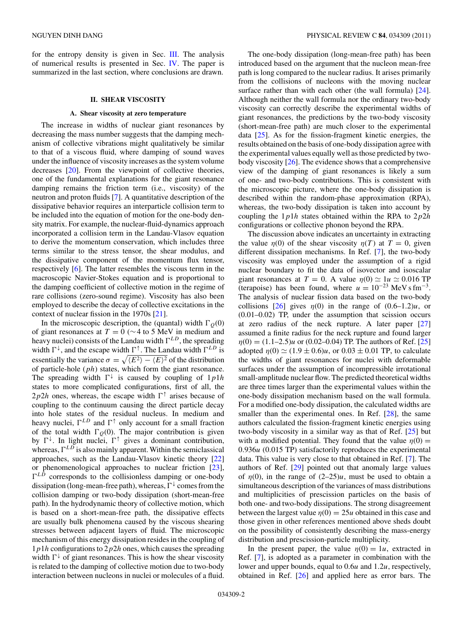<span id="page-1-0"></span>for the entropy density is given in Sec. [III.](#page-5-0) The analysis of numerical results is presented in Sec. [IV.](#page-6-0) The paper is summarized in the last section, where conclusions are drawn.

### **II. SHEAR VISCOSITY**

### **A. Shear viscosity at zero temperature**

The increase in widths of nuclear giant resonances by decreasing the mass number suggests that the damping mechanism of collective vibrations might qualitatively be similar to that of a viscous fluid, where damping of sound waves under the influence of viscosity increases as the system volume decreases [\[20\]](#page-11-0). From the viewpoint of collective theories, one of the fundamental explanations for the giant resonance damping remains the friction term (i.e., viscosity) of the neutron and proton fluids [\[7\]](#page-10-0). A quantitative description of the dissipative behavior requires an interparticle collision term to be included into the equation of motion for the one-body density matrix. For example, the nuclear-fluid-dynamics approach incorporated a collision term in the Landau-Vlasov equation to derive the momentum conservation, which includes three terms similar to the stress tensor, the shear modulus, and the dissipative component of the momentum flux tensor, respectively [\[6\]](#page-10-0). The latter resembles the viscous term in the macroscopic Navier-Stokes equation and is proportional to the damping coefficient of collective motion in the regime of rare collisions (zero-sound regime). Viscosity has also been employed to describe the decay of collective excitations in the context of nuclear fission in the 1970s [\[21\]](#page-11-0).

In the microscopic description, the (quantal) width  $\Gamma$ <sub>Q</sub>(0) of giant resonances at *T* = 0 (∼4 to 5 MeV in medium and heavy nuclei) consists of the Landau width  $\Gamma^{LD}$ , the spreading width  $\Gamma^{\downarrow}$ , and the escape width  $\Gamma^{\uparrow}$ . The Landau width  $\Gamma^{LD}$  is essentially the variance  $\sigma = \sqrt{\langle E^2 \rangle - \langle E \rangle^2}$  of the distribution of particle-hole (*ph*) states, which form the giant resonance. The spreading width  $\Gamma^{\downarrow}$  is caused by coupling of  $1p1h$ states to more complicated configurations, first of all, the 2*p*2*h* ones, whereas, the escape width  $\Gamma$ <sup> $\uparrow$ </sup> arises because of coupling to the continuum causing the direct particle decay into hole states of the residual nucleus. In medium and heavy nuclei,  $\Gamma^{LD}$  and  $\Gamma^{\uparrow}$  only account for a small fraction of the total width  $\Gamma$ <sub>Q</sub>(0). The major contribution is given by  $\Gamma^{\downarrow}$ . In light nuclei,  $\Gamma^{\uparrow}$  gives a dominant contribution, whereas,  $\Gamma^{LD}$  is also mainly apparent. Within the semiclassical approaches, such as the Landau-Vlasov kinetic theory [\[22\]](#page-11-0) or phenomenological approaches to nuclear friction [\[23\]](#page-11-0),  $\Gamma^{LD}$  corresponds to the collisionless damping or one-body dissipation (long-mean-free path), whereas,  $\Gamma^{\downarrow}$  comes from the collision damping or two-body dissipation (short-mean-free path). In the hydrodynamic theory of collective motion, which is based on a short-mean-free path, the dissipative effects are usually bulk phenomena caused by the viscous shearing stresses between adjacent layers of fluid. The microscopic mechanism of this energy dissipation resides in the coupling of 1*p*1*h* configurations to 2*p*2*h* ones, which causes the spreading width  $\Gamma^{\downarrow}$  of giant resonances. This is how the shear viscosity is related to the damping of collective motion due to two-body interaction between nucleons in nuclei or molecules of a fluid.

The one-body dissipation (long-mean-free path) has been introduced based on the argument that the nucleon mean-free path is long compared to the nuclear radius. It arises primarily from the collisions of nucleons with the moving nuclear surface rather than with each other (the wall formula) [\[24\]](#page-11-0). Although neither the wall formula nor the ordinary two-body viscosity can correctly describe the experimental widths of giant resonances, the predictions by the two-body viscosity (short-mean-free path) are much closer to the experimental data [\[25\]](#page-11-0). As for the fission-fragment kinetic energies, the results obtained on the basis of one-body dissipation agree with the experimental values equally well as those predicted by twobody viscosity [\[26\]](#page-11-0). The evidence shows that a comprehensive view of the damping of giant resonances is likely a sum of one- and two-body contributions. This is consistent with the microscopic picture, where the one-body dissipation is described within the random-phase approximation (RPA), whereas, the two-body dissipation is taken into account by coupling the 1*p*1*h* states obtained within the RPA to 2*p*2*h* configurations or collective phonon beyond the RPA.

The discussion above indicates an uncertainty in extracting the value  $\eta(0)$  of the shear viscosity  $\eta(T)$  at  $T = 0$ , given different dissipation mechanisms. In Ref. [\[7\]](#page-10-0), the two-body viscosity was employed under the assumption of a rigid nuclear boundary to fit the data of isovector and isoscalar giant resonances at  $T = 0$ . A value  $\eta(0) \simeq 1u \simeq 0.016$  TP (terapoise) has been found, where  $u = 10^{-23}$  MeV s fm<sup>-3</sup>. The analysis of nuclear fission data based on the two-body collisions  $\lceil 26 \rceil$  gives  $\eta(0)$  in the range of  $(0.6-1.2)u$ , or (0.01–0.02) TP, under the assumption that scission occurs at zero radius of the neck rupture. A later paper [\[27\]](#page-11-0) assumed a finite radius for the neck rupture and found larger *η*(0) = (1*.*1–2*.*5)*u* or (0.02–0.04) TP. The authors of Ref. [\[25\]](#page-11-0) adopted  $\eta(0) \simeq (1.9 \pm 0.6)u$ , or  $0.03 \pm 0.01$  TP, to calculate the widths of giant resonances for nuclei with deformable surfaces under the assumption of incompressible irrotational small-amplitude nuclear flow. The predicted theoretical widths are three times larger than the experimental values within the one-body dissipation mechanism based on the wall formula. For a modified one-body dissipation, the calculated widths are smaller than the experimental ones. In Ref. [\[28\]](#page-11-0), the same authors calculated the fission-fragment kinetic energies using two-body viscosity in a similar way as that of Ref. [\[25\]](#page-11-0) but with a modified potential. They found that the value  $\eta(0)$  = 0*.*936*u* (0*.*015 TP) satisfactorily reproduces the experimental data. This value is very close to that obtained in Ref. [\[7\]](#page-10-0). The authors of Ref. [\[29\]](#page-11-0) pointed out that anomaly large values of  $\eta(0)$ , in the range of  $(2-25)u$ , must be used to obtain a simultaneous description of the variances of mass distributions and multiplicities of prescission particles on the basis of both one- and two-body dissipations. The strong disagreement between the largest value  $\eta(0) = 25u$  obtained in this case and those given in other references mentioned above sheds doubt on the possibility of consistently describing the mass-energy distribution and prescission-particle multiplicity.

In the present paper, the value  $\eta(0) = 1u$ , extracted in Ref. [\[7\]](#page-10-0), is adopted as a parameter in combination with the lower and upper bounds, equal to 0*.*6*u* and 1*.*2*u*, respectively, obtained in Ref. [\[26\]](#page-11-0) and applied here as error bars. The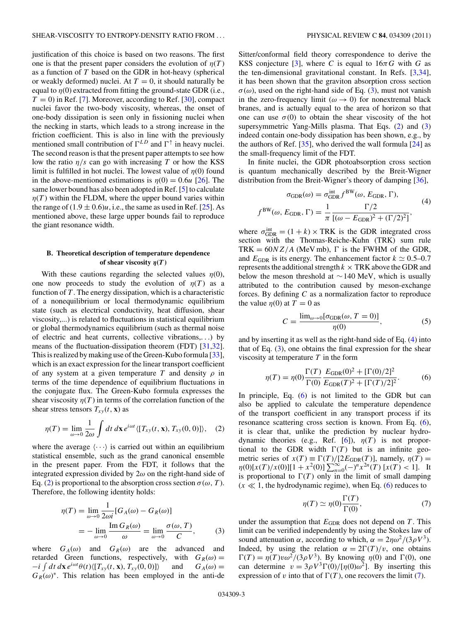<span id="page-2-0"></span>justification of this choice is based on two reasons. The first one is that the present paper considers the evolution of  $\eta(T)$ as a function of *T* based on the GDR in hot-heavy (spherical or weakly deformed) nuclei. At  $T = 0$ , it should naturally be equal to  $\eta(0)$  extracted from fitting the ground-state GDR (i.e.,  $T = 0$ ) in Ref. [\[7\]](#page-10-0). Moreover, according to Ref. [\[30\]](#page-11-0), compact nuclei favor the two-body viscosity, whereas, the onset of one-body dissipation is seen only in fissioning nuclei when the necking in starts, which leads to a strong increase in the friction coefficient. This is also in line with the previously mentioned small contribution of  $\Gamma^{LD}$  and  $\Gamma^{\uparrow}$  in heavy nuclei. The second reason is that the present paper attempts to see how low the ratio *η/s* can go with increasing *T* or how the KSS limit is fulfilled in hot nuclei. The lowest value of *η*(0) found in the above-mentioned estimations is  $\eta(0) = 0.6u$  [\[26\]](#page-11-0). The same lower bound has also been adopted in Ref. [\[5\]](#page-10-0) to calculate  $\eta(T)$  within the FLDM, where the upper bound varies within the range of  $(1.9 \pm 0.6)u$ , i.e., the same as used in Ref. [\[25\]](#page-11-0). As mentioned above, these large upper bounds fail to reproduce the giant resonance width.

## **B. Theoretical description of temperature dependence of shear viscosity**  $\eta(T)$

With these cautions regarding the selected values  $\eta(0)$ , one now proceeds to study the evolution of  $\eta(T)$  as a function of *T* . The energy dissipation, which is a characteristic of a nonequilibrium or local thermodynamic equilibrium state (such as electrical conductivity, heat diffusion, shear viscosity,...) is related to fluctuations in statistical equilibrium or global thermodynamics equilibrium (such as thermal noise of electric and heat currents, collective vibrations,*...*) by means of the fluctuation-dissipation theorem (FDT) [\[31,32\]](#page-11-0). This is realized by making use of the Green-Kubo formula [\[33\]](#page-11-0), which is an exact expression for the linear transport coefficient of any system at a given temperature *T* and density  $\rho$  in terms of the time dependence of equilibrium fluctuations in the conjugate flux. The Green-Kubo formula expresses the shear viscosity  $\eta(T)$  in terms of the correlation function of the shear stress tensors  $T_{xy}(t, \mathbf{x})$  as

$$
\eta(T) = \lim_{\omega \to 0} \frac{1}{2\omega} \int dt \, dx \, e^{i\omega t} \langle [T_{xy}(t, \mathbf{x}), T_{xy}(0, 0)] \rangle, \quad (2)
$$

where the average  $\langle \cdots \rangle$  is carried out within an equilibrium statistical ensemble, such as the grand canonical ensemble in the present paper. From the FDT, it follows that the integrated expression divided by 2*ω* on the right-hand side of Eq. (2) is proportional to the absorption cross section  $\sigma(\omega, T)$ . Therefore, the following identity holds:

$$
\eta(T) = \lim_{\omega \to 0} \frac{1}{2\omega i} [G_A(\omega) - G_R(\omega)]
$$
  
= 
$$
- \lim_{\omega \to 0} \frac{\text{Im } G_R(\omega)}{\omega} = \lim_{\omega \to 0} \frac{\sigma(\omega, T)}{C},
$$
 (3)

where  $G_A(\omega)$  and  $G_R(\omega)$  are the advanced and retarded Green functions, respectively, with  $G_R(\omega) =$  $-i \int dt \, d\mathbf{x} \, e^{i\omega t} \theta(t) \langle [T_{xy}(t, \mathbf{x}), T_{xy}(0, 0)] \rangle$  and  $G_A(\omega) =$  $G_R(\omega)^*$ . This relation has been employed in the anti-de

Sitter/conformal field theory correspondence to derive the KSS conjecture [\[3\]](#page-10-0), where *C* is equal to  $16\pi G$  with *G* as the ten-dimensional gravitational constant. In Refs. [\[3,](#page-10-0)[34\]](#page-11-0), it has been shown that the graviton absorption cross section  $\sigma(\omega)$ , used on the right-hand side of Eq. (3), must not vanish in the zero-frequency limit ( $\omega \rightarrow 0$ ) for nonextremal black branes, and is actually equal to the area of horizon so that one can use  $\sigma(0)$  to obtain the shear viscosity of the hot supersymmetric Yang-Mills plasma. That Eqs. (2) and (3) indeed contain one-body dissipation has been shown, e.g., by the authors of Ref. [\[35\]](#page-11-0), who derived the wall formula [\[24\]](#page-11-0) as the small-frequency limit of the FDT.

In finite nuclei, the GDR photoabsorption cross section is quantum mechanically described by the Breit-Wigner distribution from the Breit-Wigner's theory of damping [\[36\]](#page-11-0),

$$
\sigma_{\text{GDR}}(\omega) = \sigma_{\text{GDR}}^{\text{int}} f^{\text{BW}}(\omega, E_{\text{GDR}}, \Gamma),
$$
  

$$
f^{\text{BW}}(\omega, E_{\text{GDR}}, \Gamma) = \frac{1}{\pi} \frac{\Gamma/2}{[(\omega - E_{\text{GDR}})^2 + (\Gamma/2)^2]},
$$
(4)

where  $\sigma_{\text{GDR}}^{\text{int}} = (1 + k) \times \text{TRK}$  is the GDR integrated cross section with the Thomas-Reiche-Kuhn (TRK) sum rule TRK =  $60NZ/A$  (MeV mb),  $\Gamma$  is the FWHM of the GDR, and  $E_{GDR}$  is its energy. The enhancement factor  $k \approx 0.5{\text{-}}0.7$ represents the additional strength  $k \times \text{TRK}$  above the GDR and below the meson threshold at  $\sim$  140 MeV, which is usually attributed to the contribution caused by meson-exchange forces. By defining *C* as a normalization factor to reproduce the value  $\eta(0)$  at  $T = 0$  as

$$
C = \frac{\lim_{\omega \to 0} [\sigma_{\text{GDR}}(\omega, T = 0)]}{\eta(0)},
$$
\n(5)

and by inserting it as well as the right-hand side of Eq. (4) into that of Eq.  $(3)$ , one obtains the final expression for the shear viscosity at temperature *T* in the form

$$
\eta(T) = \eta(0) \frac{\Gamma(T)}{\Gamma(0)} \frac{E_{\text{GDR}}(0)^2 + [\Gamma(0)/2]^2}{E_{\text{GDR}}(T)^2 + [\Gamma(T)/2]^2}.
$$
 (6)

In principle, Eq.  $(6)$  is not limited to the GDR but can also be applied to calculate the temperature dependence of the transport coefficient in any transport process if its resonance scattering cross section is known. From Eq. (6), it is clear that, unlike the prediction by nuclear hydro-dynamic theories (e.g., Ref. [\[6\]](#page-10-0)),  $\eta(T)$  is not proportional to the GDR width  $\Gamma(T)$  but is an infinite geometric series of  $x(T) \equiv \Gamma(T)/[2E_{GDR}(T)]$ , namely,  $\eta(T) =$ *η*(0)[ $x(T)/x(0)$ ][1 +  $x^2(0)$ ]  $\sum_{n=0}^{\infty} (-)^n x^{2n}(T)$  [ $x(T) < 1$ ]. It is proportional to  $\Gamma(T)$  only in the limit of small damping  $(x \ll 1$ , the hydrodynamic regime), when Eq. (6) reduces to

$$
\eta(T) \simeq \eta(0) \frac{\Gamma(T)}{\Gamma(0)},\tag{7}
$$

under the assumption that  $E_{GDR}$  does not depend on  $T$ . This limit can be verified independently by using the Stokes law of sound attenuation *α*, according to which,  $\alpha = 2n\omega^2/(3\rho V^3)$ . Indeed, by using the relation  $\alpha = 2\Gamma(T)/v$ , one obtains  $\Gamma(T) = \eta(T)v\omega^2/(3\rho V^3)$ . By knowing  $\eta(0)$  and  $\Gamma(0)$ , one can determine  $v = 3\rho V^3 \Gamma(0)/[\eta(0)\omega^2]$ . By inserting this expression of *v* into that of  $\Gamma(T)$ , one recovers the limit (7).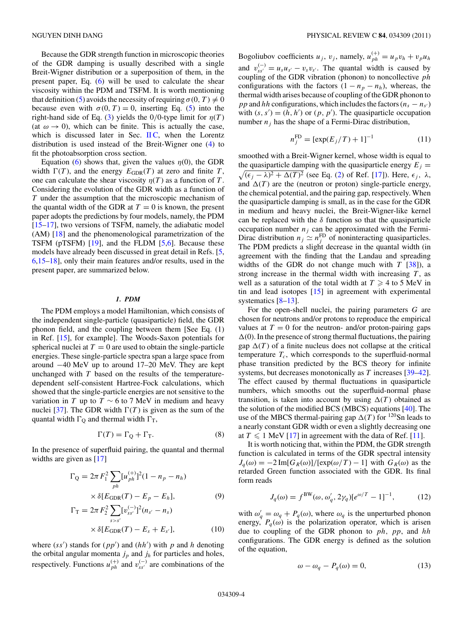<span id="page-3-0"></span>Because the GDR strength function in microscopic theories of the GDR damping is usually described with a single Breit-Wigner distribution or a superposition of them, in the present paper, Eq. [\(6\)](#page-2-0) will be used to calculate the shear viscosity within the PDM and TSFM. It is worth mentioning that definition [\(5\)](#page-2-0) avoids the necessity of requiring  $\sigma(0, T) \neq 0$ because even with  $\sigma(0, T) = 0$ , inserting Eq. [\(5\)](#page-2-0) into the right-hand side of Eq. [\(3\)](#page-2-0) yields the 0/0-type limit for  $\eta(T)$ (at  $\omega \rightarrow 0$ ), which can be finite. This is actually the case, which is discussed later in Sec.  $\text{HC}$ , when the Lorentz distribution is used instead of the Breit-Wigner one [\(4\)](#page-2-0) to fit the photoabsorption cross section.

Equation [\(6\)](#page-2-0) shows that, given the values  $\eta(0)$ , the GDR width  $\Gamma(T)$ , and the energy  $E_{GDR}(T)$  at zero and finite *T*, one can calculate the shear viscosity  $\eta(T)$  as a function of *T*. Considering the evolution of the GDR width as a function of *T* under the assumption that the microscopic mechanism of the quantal width of the GDR at  $T = 0$  is known, the present paper adopts the predictions by four models, namely, the PDM [\[15–17\]](#page-10-0), two versions of TSFM, namely, the adiabatic model (AM) [\[18\]](#page-10-0) and the phenomenological parametrization of the TSFM (pTSFM) [\[19\]](#page-10-0), and the FLDM [\[5,6\]](#page-10-0). Because these models have already been discussed in great detail in Refs. [\[5,](#page-10-0) [6,15–18\]](#page-10-0), only their main features and/or results, used in the present paper, are summarized below.

## *1. PDM*

The PDM employs a model Hamiltonian, which consists of the independent single-particle (quasiparticle) field, the GDR phonon field, and the coupling between them [See Eq. (1) in Ref. [\[15\]](#page-10-0), for example]. The Woods-Saxon potentials for spherical nuclei at  $T = 0$  are used to obtain the single-particle energies. These single-particle spectra span a large space from around −40 MeV up to around 17–20 MeV. They are kept unchanged with *T* based on the results of the temperaturedependent self-consistent Hartree-Fock calculations, which showed that the single-particle energies are not sensitive to the variation in *T* up to  $T \sim 6$  to 7 MeV in medium and heavy nuclei [\[37\]](#page-11-0). The GDR width  $\Gamma(T)$  is given as the sum of the quantal width  $\Gamma$ <sub>O</sub> and thermal width  $\Gamma$ <sub>T</sub>,

$$
\Gamma(T) = \Gamma_{\mathcal{Q}} + \Gamma_{\mathcal{T}}.\tag{8}
$$

In the presence of superfluid pairing, the quantal and thermal widths are given as [\[17\]](#page-10-0)

$$
\Gamma_{Q} = 2\pi F_{1}^{2} \sum_{ph} [u_{ph}^{(+)}]^{2} (1 - n_{p} - n_{h})
$$
  
 
$$
\times \delta [E_{GDR}(T) - E_{p} - E_{h}], \qquad (9)
$$

$$
\Gamma_{\rm T} = 2\pi F_2^2 \sum_{s>s'} [v_{ss'}^{(-)}]^2 (n_{s'} - n_s)
$$
  
 
$$
\times \delta [E_{\rm GDR}(T) - E_s + E_{s'}], \tag{10}
$$

where  $(s s')$  stands for  $(p p')$  and  $(hh')$  with  $p$  and  $h$  denoting the orbital angular momenta  $j_p$  and  $j_h$  for particles and holes, respectively. Functions  $u_{ph}^{(+)}$  and  $v_{ss'}^{(-)}$  are combinations of the

Bogoliubov coefficients  $u_j$ ,  $v_j$ , namely,  $u_{ph}^{(+)} = u_p v_h + v_p u_h$ and  $v_{ss'}^{(-)} = u_s u_{s'} - v_s v_{s'}$ . The quantal width is caused by coupling of the GDR vibration (phonon) to noncollective *ph* configurations with the factors  $(1 - n_p - n_h)$ , whereas, the thermal width arises because of coupling of the GDR phonon to *pp* and *hh* configurations, which includes the factors  $(n_s - n_{s'})$ with  $(s, s') = (h, h')$  or  $(p, p')$ . The quasiparticle occupation number  $n_i$  has the shape of a Fermi-Dirac distribution,

$$
n_j^{\rm FD} = [\exp(E_j/T) + 1]^{-1}
$$
 (11)

smoothed with a Breit-Wigner kernel, whose width is equal to the quasiparticle damping with the quasiparticle energy  $E_j =$  $\sqrt{(\epsilon_j - \lambda)^2 + \Delta(T)^2}$  (see Eq. [\(2\)](#page-2-0) of Ref. [\[17\]](#page-10-0)). Here,  $\epsilon_j$ , λ, and  $\Delta(T)$  are the (neutron or proton) single-particle energy, the chemical potential, and the pairing gap, respectively. When the quasiparticle damping is small, as in the case for the GDR in medium and heavy nuclei, the Breit-Wigner-like kernel can be replaced with the  $\delta$  function so that the quasiparticle occupation number  $n_j$  can be approximated with the Fermi-Dirac distribution  $n_j \simeq n_j^{\text{FD}}$  of noninteracting quasiparticles. The PDM predicts a slight decrease in the quantal width (in agreement with the finding that the Landau and spreading widths of the GDR do not change much with  $T$  [\[38\]](#page-11-0)), a strong increase in the thermal width with increasing  $T$ , as well as a saturation of the total width at  $T \geq 4$  to 5 MeV in tin and lead isotopes [\[15\]](#page-10-0) in agreement with experimental systematics [\[8–13\]](#page-10-0).

For the open-shell nuclei, the pairing parameters *G* are chosen for neutrons and/or protons to reproduce the empirical values at  $T = 0$  for the neutron- and/or proton-pairing gaps  $\Delta(0)$ . In the presence of strong thermal fluctuations, the pairing gap  $\Delta(T)$  of a finite nucleus does not collapse at the critical temperature  $T_c$ , which corresponds to the superfluid-normal phase transition predicted by the BCS theory for infinite systems, but decreases monotonically as *T* increases [\[39–42\]](#page-11-0). The effect caused by thermal fluctuations in quasiparticle numbers, which smooths out the superfluid-normal phase transition, is taken into account by using  $\Delta(T)$  obtained as the solution of the modified BCS (MBCS) equations [\[40\]](#page-11-0). The use of the MBCS thermal-pairing gap  $\Delta(T)$  for <sup>120</sup>Sn leads to a nearly constant GDR width or even a slightly decreasing one at  $T \leq 1$  MeV [\[17\]](#page-10-0) in agreement with the data of Ref. [\[11\]](#page-10-0).

It is worth noticing that, within the PDM, the GDR strength function is calculated in terms of the GDR spectral intensity  $J_q(\omega) = -2 \text{Im}[G_R(\omega)]/[\exp(\omega/T) - 1]$  with  $G_R(\omega)$  as the retarded Green function associated with the GDR. Its final form reads

$$
J_q(\omega) = f^{\text{BW}}(\omega, \omega'_q, 2\gamma_q) [e^{\omega/T} - 1]^{-1}, \quad (12)
$$

with  $\omega'_q = \omega_q + P_q(\omega)$ , where  $\omega_q$  is the unperturbed phonon energy,  $P_q(\omega)$  is the polarization operator, which is arisen due to coupling of the GDR phonon to *ph, pp*, and *hh* configurations. The GDR energy is defined as the solution of the equation,

$$
\omega - \omega_q - P_q(\omega) = 0,\tag{13}
$$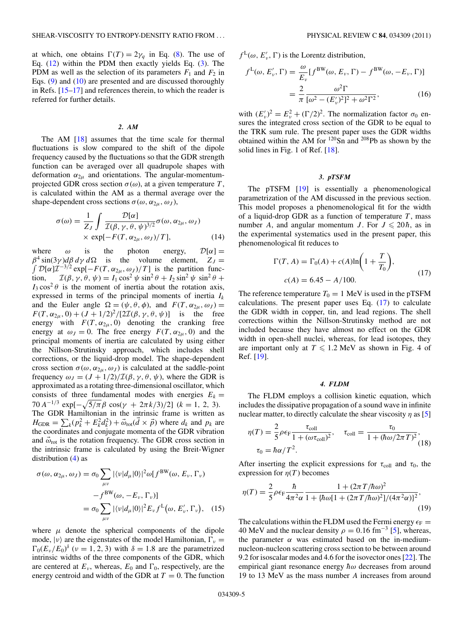<span id="page-4-0"></span>at which, one obtains  $\Gamma(T) = 2\gamma_q$  in Eq. [\(8\)](#page-3-0). The use of Eq.  $(12)$  within the PDM then exactly yields Eq.  $(3)$ . The PDM as well as the selection of its parameters  $F_1$  and  $F_2$  in Eqs. [\(9\)](#page-3-0) and [\(10\)](#page-3-0) are presented and are discussed thoroughly in Refs. [\[15–17\]](#page-10-0) and references therein, to which the reader is referred for further details.

#### *2. AM*

The AM [\[18\]](#page-10-0) assumes that the time scale for thermal fluctuations is slow compared to the shift of the dipole frequency caused by the fluctuations so that the GDR strength function can be averaged over all quadrupole shapes with deformation  $\alpha_{2\mu}$  and orientations. The angular-momentumprojected GDR cross section *σ*(*ω*), at a given temperature *T* , is calculated within the AM as a thermal average over the shape-dependent cross sections  $\sigma(\omega, \alpha_{2\mu}, \omega_J)$ ,

$$
\sigma(\omega) = \frac{1}{Z_J} \int \frac{\mathcal{D}[\alpha]}{\mathcal{I}(\beta, \gamma, \theta, \psi)^{3/2}} \sigma(\omega, \alpha_{2\mu}, \omega_J)
$$
  
× exp[- $F(T, \alpha_{2\mu}, \omega_J)/T$ ], (14)

where  $\omega$  is the photon energy,  $\mathcal{D}[\alpha] =$  $\beta^4 \sin(3\gamma) d\beta d\gamma d\Omega$  is the volume element,  $Z_J =$  $\int \mathcal{D}[\alpha] \mathcal{I}^{-3/2} \exp[-F(T, \alpha_{2\mu}, \omega_J)/T]$  is the partition function,  $\mathcal{I}(\beta, \gamma, \theta, \psi) = I_1 \cos^2 \psi \sin^2 \theta + I_2 \sin^2 \psi \sin^2 \theta +$  $I_3 \cos^2 \theta$  is the moment of inertia about the rotation axis, expressed in terms of the principal moments of inertia *Ik* and the Euler angle  $\Omega = (\psi, \theta, \phi)$ , and  $F(T, \alpha_{2\mu}, \omega_J) =$ *F*(*T*,  $\alpha_{2\mu}$ , 0) + (*J* + 1/2)<sup>2</sup>/[2*I*( $\beta$ ,  $\gamma$ ,  $\theta$ ,  $\psi$ )] is the free energy with  $F(T, \alpha_{2\mu}, 0)$  denoting the cranking free energy at  $\omega_J = 0$ . The free energy  $F(T, \alpha_{2\mu}, 0)$  and the principal moments of inertia are calculated by using either the Nillson-Strutinsky approach, which includes shell corrections, or the liquid-drop model. The shape-dependent cross section  $\sigma(\omega, \alpha_{2\mu}, \omega_J)$  is calculated at the saddle-point frequency  $\omega_J = (J + 1/2)/\mathcal{I}(\beta, \gamma, \theta, \psi)$ , where the GDR is approximated as a rotating three-dimensional oscillator, which consists of three fundamental modes with energies  $E_k =$ 70 *A*<sup>-1/3</sup> exp[ $-\sqrt{5/\pi}$ β cos(γ + 2πk/3)/2] (k = 1, 2, 3). The GDR Hamiltonian in the intrinsic frame is written as  $H_{\text{GDR}} = \sum_{k} (p_k^2 + E_k^2 d_k^2) + \vec{\omega}_{\text{rot}}(\vec{d} \times \vec{p})$  where  $d_k$  and  $p_k$  are the coordinates and conjugate momenta of the GDR vibration and  $\vec{\omega}_{\text{rot}}$  is the rotation frequency. The GDR cross section in the intrinsic frame is calculated by using the Breit-Wigner distribution [\(4\)](#page-2-0) as

$$
\sigma(\omega, \alpha_{2\mu}, \omega_J) = \sigma_0 \sum_{\mu\nu} |\langle \nu | d_{\mu} | 0 \rangle|^2 \omega[f^{\text{BW}}(\omega, E_{\nu}, \Gamma_{\nu})
$$

$$
-f^{\text{BW}}(\omega, -E_{\nu}, \Gamma_{\nu})]
$$

$$
= \sigma_0 \sum_{\mu\nu} |\langle \nu | d_{\mu} | 0 \rangle|^2 E_{\nu} f^{\text{L}}(\omega, E_{\nu}', \Gamma_{\nu}), \quad (15)
$$

where  $\mu$  denote the spherical components of the dipole mode,  $|\nu\rangle$  are the eigenstates of the model Hamiltonian,  $\Gamma_{\nu}$  =  $\Gamma_0(E_\nu/E_0)^\delta$  ( $\nu = 1, 2, 3$ ) with  $\delta = 1.8$  are the parametrized intrinsic widths of the three components of the GDR, which are centered at  $E_v$ , whereas,  $E_0$  and  $\Gamma_0$ , respectively, are the energy centroid and width of the GDR at  $T = 0$ . The function

 $f^{\text{L}}(\omega, E'_{\nu}, \Gamma)$  is the Lorentz distribution,

$$
f^{\mathcal{L}}(\omega, E'_{\nu}, \Gamma) = \frac{\omega}{E_{\nu}} [f^{\mathcal{BW}}(\omega, E_{\nu}, \Gamma) - f^{\mathcal{BW}}(\omega, -E_{\nu}, \Gamma)]
$$
  

$$
= \frac{2}{\pi} \frac{\omega^2 \Gamma}{[\omega^2 - (E'_{\nu})^2]^2 + \omega^2 \Gamma^2},
$$
(16)

with  $(E'_\nu)^2 = E_\nu^2 + (\Gamma/2)^2$ . The normalization factor  $\sigma_0$  ensures the integrated cross section of the GDR to be equal to the TRK sum rule. The present paper uses the GDR widths obtained within the AM for 120Sn and 208Pb as shown by the solid lines in Fig. 1 of Ref. [\[18\]](#page-10-0).

## *3. pTSFM*

The pTSFM [\[19\]](#page-10-0) is essentially a phenomenological parametrization of the AM discussed in the previous section. This model proposes a phenomenological fit for the width of a liquid-drop GDR as a function of temperature  $T$ , mass number *A*, and angular momentum *J*. For  $J \le 20\hbar$ , as in the experimental systematics used in the present paper, this phenomenological fit reduces to

$$
\Gamma(T, A) = \Gamma_0(A) + c(A)\ln\left(1 + \frac{T}{T_0}\right),
$$
  

$$
c(A) = 6.45 - A/100.
$$
 (17)

The reference temperature  $T_0 = 1$  MeV is used in the pTSFM calculations. The present paper uses Eq.  $(17)$  to calculate the GDR width in copper, tin, and lead regions. The shell corrections within the Nillson-Strutinsky method are not included because they have almost no effect on the GDR width in open-shell nuclei, whereas, for lead isotopes, they are important only at  $T \le 1.2$  MeV as shown in Fig. 4 of Ref. [\[19\]](#page-10-0).

### *4. FLDM*

The FLDM employs a collision kinetic equation, which includes the dissipative propagation of a sound wave in infinite nuclear matter, to directly calculate the shear viscosity *η* as [\[5\]](#page-10-0)

$$
\eta(T) = \frac{2}{5} \rho \epsilon_{\text{F}} \frac{\tau_{\text{coll}}}{1 + (\omega \tau_{\text{coll}})^2}, \quad \tau_{\text{coll}} = \frac{\tau_0}{1 + (\hbar \omega / 2\pi T)^2},
$$
  

$$
\tau_0 = \hbar \alpha / T^2.
$$
 (18)

After inserting the explicit expressions for  $\tau_{\text{coll}}$  and  $\tau_0$ , the expression for  $\eta(T)$  becomes

$$
\eta(T) = \frac{2}{5} \rho \epsilon_{\rm F} \frac{\hbar}{4\pi^2 \alpha} \frac{1 + (2\pi T/\hbar \omega)^2}{1 + \left[\hbar \omega [1 + (2\pi T/\hbar \omega)^2\right] / (4\pi^2 \alpha)\right]^2},\tag{19}
$$

The calculations within the FLDM used the Fermi energy  $\epsilon_F$  = 40 MeV and the nuclear density  $\rho = 0.16$  fm<sup>-3</sup> [\[5\]](#page-10-0), whereas, the parameter *α* was estimated based on the in-mediumnucleon-nucleon scattering cross section to be between around 9.2 for isoscalar modes and 4.6 for the isovector ones [\[22\]](#page-11-0). The empirical giant resonance energy  $\hbar\omega$  decreases from around 19 to 13 MeV as the mass number *A* increases from around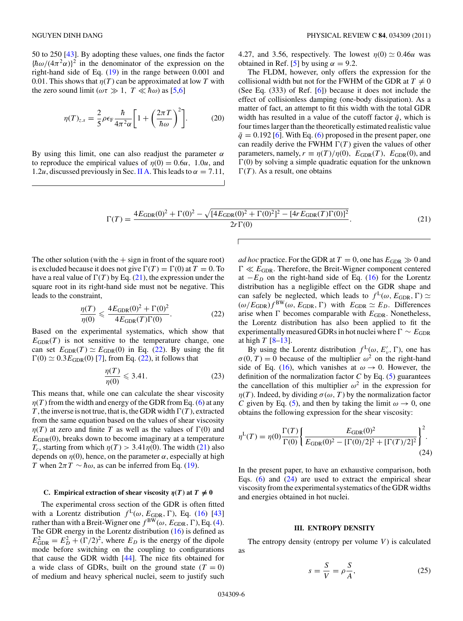<span id="page-5-0"></span>50 to 250 [\[43\]](#page-11-0). By adopting these values, one finds the factor  ${\hbar \omega/(4\pi^2\alpha)}^2$  in the denominator of the expression on the right-hand side of Eq. [\(19\)](#page-4-0) in the range between 0.001 and 0.01. This shows that  $\eta(T)$  can be approximated at low T with the zero sound limit ( $\omega \tau \gg 1$ ,  $T \ll \hbar \omega$ ) as [\[5,6\]](#page-10-0)

$$
\eta(T)_{z.s} = \frac{2}{5}\rho \epsilon_{\rm F} \frac{\hbar}{4\pi^2 \alpha} \left[ 1 + \left( \frac{2\pi T}{\hbar \omega} \right)^2 \right]. \tag{20}
$$

By using this limit, one can also readjust the parameter *α* to reproduce the empirical values of  $\eta(0) = 0.6u$ , 1.0*u*, and 1.2*u*, discussed previously in Sec. [II A.](#page-1-0) This leads to  $\alpha = 7.11$ ,

4.27, and 3.56, respectively. The lowest  $\eta(0) \simeq 0.46u$  was obtained in Ref. [\[5\]](#page-10-0) by using  $\alpha = 9.2$ .

The FLDM, however, only offers the expression for the collisional width but not for the FWHM of the GDR at  $T \neq 0$ (See Eq. (333) of Ref. [\[6\]](#page-10-0)) because it does not include the effect of collisionless damping (one-body dissipation). As a matter of fact, an attempt to fit this width with the total GDR width has resulted in a value of the cutoff factor  $\bar{q}$ , which is four times larger than the theoretically estimated realistic value  $\bar{q} = 0.192$  [\[6\]](#page-10-0). With Eq. [\(6\)](#page-2-0) proposed in the present paper, one can readily derive the FWHM  $\Gamma(T)$  given the values of other parameters, namely,  $r \equiv \eta(T)/\eta(0)$ ,  $E_{GDR}(T)$ ,  $E_{GDR}(0)$ , and  $\Gamma(0)$  by solving a simple quadratic equation for the unknown  $\Gamma(T)$ . As a result, one obtains

$$
\Gamma(T) = \frac{4E_{\text{GDR}}(0)^2 + \Gamma(0)^2 - \sqrt{[4E_{\text{GDR}}(0)^2 + \Gamma(0)^2]^2 - [4rE_{\text{GDR}}(T)\Gamma(0)]^2}}{2r\Gamma(0)}.
$$
\n(21)

The other solution (with the  $+$  sign in front of the square root) is excluded because it does not give  $\Gamma(T) = \Gamma(0)$  at  $T = 0$ . To have a real value of  $\Gamma(T)$  by Eq. (21), the expression under the square root in its right-hand side must not be negative. This leads to the constraint,

$$
\frac{\eta(T)}{\eta(0)} \leqslant \frac{4E_{\text{GDR}}(0)^2 + \Gamma(0)^2}{4E_{\text{GDR}}(T)\Gamma(0)}.
$$
\n(22)

Based on the experimental systematics, which show that  $E_{GDR}(T)$  is not sensitive to the temperature change, one can set  $E_{GDR}(T) \simeq E_{GDR}(0)$  in Eq. (22). By using the fit  $\Gamma(0) \simeq 0.3 E_{\text{GDR}}(0)$  [\[7\]](#page-10-0), from Eq. (22), it follows that

$$
\frac{\eta(T)}{\eta(0)} \leqslant 3.41. \tag{23}
$$

This means that, while one can calculate the shear viscosity  $\eta(T)$  from the width and energy of the GDR from Eq. [\(6\)](#page-2-0) at any *T*, the inverse is not true, that is, the GDR width  $\Gamma(T)$ , extracted from the same equation based on the values of shear viscosity  $\eta(T)$  at zero and finite *T* as well as the values of  $\Gamma(0)$  and  $E_{GDR}(0)$ , breaks down to become imaginary at a temperature *T<sub>c</sub>*, starting from which  $\eta(T) > 3.41\eta(0)$ . The width (21) also depends on  $\eta(0)$ , hence, on the parameter  $\alpha$ , especially at high *T* when  $2\pi T \sim \hbar \omega$ , as can be inferred from Eq. [\(19\)](#page-4-0).

# **C.** Empirical extraction of shear viscosity  $\eta(T)$  at  $T \neq 0$

The experimental cross section of the GDR is often fitted with a Lorentz distribution  $f^L(\omega, E_{\text{GDR}}, \Gamma)$ , Eq. [\(16\)](#page-4-0) [\[43\]](#page-11-0) rather than with a Breit-Wigner one  $f^{BW}(\omega, E_{GDR}, \Gamma)$ , Eq. [\(4\)](#page-2-0). The GDR energy in the Lorentz distribution [\(16\)](#page-4-0) is defined as  $E_{\text{GDR}}^2 = E_D^2 + (\Gamma/2)^2$ , where  $E_D$  is the energy of the dipole mode before switching on the coupling to configurations that cause the GDR width [\[44\]](#page-11-0). The nice fits obtained for a wide class of GDRs, built on the ground state  $(T = 0)$ of medium and heavy spherical nuclei, seem to justify such

*ad hoc* practice. For the GDR at  $T = 0$ , one has  $E_{GDR} \gg 0$  and  $\Gamma \ll E_{\text{GDR}}$ . Therefore, the Breit-Wigner component centered at  $-E_D$  on the right-hand side of Eq. [\(16\)](#page-4-0) for the Lorentz distribution has a negligible effect on the GDR shape and can safely be neglected, which leads to  $f^L(\omega, E_{GDR}, \Gamma) \simeq$  $(\omega/E_{\text{GDR}})f^{\text{BW}}(\omega, E_{\text{GDR}}, \Gamma)$  with  $E_{\text{GDR}} \simeq E_D$ . Differences arise when  $\Gamma$  becomes comparable with  $E_{GDR}$ . Nonetheless, the Lorentz distribution has also been applied to fit the experimentally measured GDRs in hot nuclei where Γ ~  $E$ <sub>GDR</sub> at high *T* [\[8–13\]](#page-10-0).

By using the Lorentz distribution  $f^L(\omega, E'_v, \Gamma)$ , one has  $\sigma(0, T) = 0$  because of the multiplier  $\omega^2$  on the right-hand side of Eq. [\(16\)](#page-4-0), which vanishes at  $\omega \rightarrow 0$ . However, the definition of the normalization factor  $C$  by Eq. [\(5\)](#page-2-0) guarantees the cancellation of this multiplier  $\omega^2$  in the expression for *η*(*T*). Indeed, by dividing  $σ(ω, T)$  by the normalization factor *C* given by Eq. [\(5\)](#page-2-0), and then by taking the limit  $\omega \rightarrow 0$ , one obtains the following expression for the shear viscosity:

$$
\eta^{\mathcal{L}}(T) = \eta(0) \frac{\Gamma(T)}{\Gamma(0)} \left\{ \frac{E_{\text{GDR}}(0)^2}{E_{\text{GDR}}(0)^2 - [\Gamma(0)/2]^2 + [\Gamma(T)/2]^2} \right\}^2.
$$
\n(24)

In the present paper, to have an exhaustive comparison, both Eqs.  $(6)$  and  $(24)$  are used to extract the empirical shear viscosity from the experimental systematics of the GDR widths and energies obtained in hot nuclei.

#### **III. ENTROPY DENSITY**

The entropy density (entropy per volume  $V$ ) is calculated as

$$
s = \frac{S}{V} = \rho \frac{S}{A},\tag{25}
$$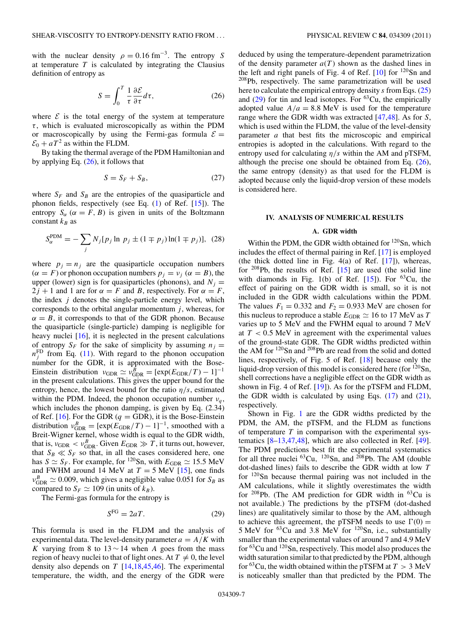<span id="page-6-0"></span>with the nuclear density  $\rho = 0.16$  fm<sup>-3</sup>. The entropy *S* at temperature  $T$  is calculated by integrating the Clausius definition of entropy as

$$
S = \int_0^T \frac{1}{\tau} \frac{\partial \mathcal{E}}{\partial \tau} d\tau,\tag{26}
$$

where  $\mathcal E$  is the total energy of the system at temperature *τ* , which is evaluated microscopically as within the PDM or macroscopically by using the Fermi-gas formula  $\mathcal{E} =$  $\mathcal{E}_0 + aT^2$  as within the FLDM.

By taking the thermal average of the PDM Hamiltonian and by applying Eq.  $(26)$ , it follows that

$$
S = S_F + S_B,\tag{27}
$$

where  $S_F$  and  $S_B$  are the entropies of the quasiparticle and phonon fields, respectively (see Eq. [\(1\)](#page-0-0) of Ref. [\[15\]](#page-10-0)). The entropy  $S_\alpha$  ( $\alpha = F, B$ ) is given in units of the Boltzmann constant  $k_B$  as

$$
S_{\alpha}^{\text{PDM}} = -\sum_{j} N_{j} [p_{j} \ln p_{j} \pm (1 \mp p_{j}) \ln(1 \mp p_{j})], (28)
$$

where  $p_i = n_i$  are the quasiparticle occupation numbers  $(\alpha = F)$  or phonon occupation numbers  $p_j = v_j$  ( $\alpha = B$ ), the upper (lower) sign is for quasiparticles (phonons), and  $N_i =$  $2j + 1$  and 1 are for  $\alpha = F$  and *B*, respectively. For  $\alpha = F$ , the index *j* denotes the single-particle energy level, which corresponds to the orbital angular momentum  $j$ , whereas, for  $\alpha = B$ , it corresponds to that of the GDR phonon. Because the quasiparticle (single-particle) damping is negligible for heavy nuclei [\[16\]](#page-10-0), it is neglected in the present calculations of entropy  $S_F$  for the sake of simplicity by assuming  $n_i =$  $n_j^{\text{FD}}$  from Eq. [\(11\)](#page-3-0). With regard to the phonon occupation number for the GDR, it is approximated with the Bose-Einstein distribution  $v_{\text{GDR}} \simeq v_{\text{GDR}}^{\overline{B}} = [\exp(E_{\text{GDR}}/T) - 1]^{-1}$ in the present calculations. This gives the upper bound for the entropy, hence, the lowest bound for the ratio *η/s*, estimated within the PDM. Indeed, the phonon occupation number  $v_a$ , which includes the phonon damping, is given by Eq. (2.34) of Ref. [\[16\]](#page-10-0). For the GDR  $(q = GDR)$ , it is the Bose-Einstein distribution  $v_{\text{GDR}}^B = [\exp(E_{\text{GDR}}/T) - 1]^{-1}$ , smoothed with a Breit-Wigner kernel, whose width is equal to the GDR width, that is,  $v_{\text{GDR}} < v_{\text{GDR}}^B$ . Given  $E_{\text{GDR}} \gg T$ , it turns out, however, that  $S_B \ll S_F$  so that, in all the cases considered here, one has  $S \simeq S_F$ . For example, for <sup>120</sup>Sn, with  $E_{\text{GDR}} \simeq 15.5 \text{ MeV}$ and FWHM around 14 MeV at  $T = 5$  MeV [\[15\]](#page-10-0), one finds  $v_{\text{GDR}}^B \simeq 0.009$ , which gives a negligible value 0.051 for *S<sub>B</sub>* as compared to  $S_F \simeq 109$  (in units of  $k_B$ ).

The Fermi-gas formula for the entropy is

$$
S^{\text{FG}} = 2aT. \tag{29}
$$

This formula is used in the FLDM and the analysis of experimental data. The level-density parameter  $a = A/K$  with *K* varying from 8 to  $13 \sim 14$  when *A* goes from the mass region of heavy nuclei to that of light ones. At  $T \neq 0$ , the level density also depends on *T* [\[14,18](#page-10-0)[,45,46\]](#page-11-0). The experimental temperature, the width, and the energy of the GDR were

deduced by using the temperature-dependent parametrization of the density parameter  $a(T)$  shown as the dashed lines in the left and right panels of Fig. 4 of Ref.  $[10]$  for  $^{120}$ Sn and 208Pb, respectively. The same parametrization will be used here to calculate the empirical entropy density *s* from Eqs. [\(25\)](#page-5-0) and  $(29)$  for tin and lead isotopes. For <sup>63</sup>Cu, the empirically adopted value  $A/a = 8.8$  MeV is used for the temperature range where the GDR width was extracted [\[47,48\]](#page-11-0). As for *S*, which is used within the FLDM, the value of the level-density parameter *a* that best fits the microscopic and empirical entropies is adopted in the calculations. With regard to the entropy used for calculating *η/s* within the AM and pTSFM, although the precise one should be obtained from Eq.  $(26)$ , the same entropy (density) as that used for the FLDM is adopted because only the liquid-drop version of these models is considered here.

## **IV. ANALYSIS OF NUMERICAL RESULTS**

## **A. GDR width**

Within the PDM, the GDR width obtained for  $120$ Sn, which includes the effect of thermal pairing in Ref. [\[17\]](#page-10-0) is employed (the thick dotted line in Fig.  $4(a)$  of Ref. [\[17\]](#page-10-0)), whereas, for  $208Pb$ , the results of Ref. [\[15\]](#page-10-0) are used (the solid line with diamonds in Fig. 1(b) of Ref.  $[15]$ . For <sup>63</sup>Cu, the effect of pairing on the GDR width is small, so it is not included in the GDR width calculations within the PDM. The values  $F_1 = 0.332$  and  $F_2 = 0.933$  MeV are chosen for this nucleus to reproduce a stable  $E_{GDR} \simeq 16$  to 17 MeV as *T* varies up to 5 MeV and the FWHM equal to around 7 MeV at *T <* 0*.*5 MeV in agreement with the experimental values of the ground-state GDR. The GDR widths predicted within the AM for 120Sn and 208Pb are read from the solid and dotted lines, respectively, of Fig. 5 of Ref. [\[18\]](#page-10-0) because only the liquid-drop version of this model is considered here (for  $120\text{Sn}$ , shell corrections have a negligible effect on the GDR width as shown in Fig. 4 of Ref. [\[19\]](#page-10-0)). As for the pTSFM and FLDM, the GDR width is calculated by using Eqs.  $(17)$  and  $(21)$ , respectively.

Shown in Fig. [1](#page-7-0) are the GDR widths predicted by the PDM, the AM, the pTSFM, and the FLDM as functions of temperature *T* in comparison with the experimental systematics [\[8–13,](#page-10-0)[47,48\]](#page-11-0), which are also collected in Ref. [\[49\]](#page-11-0). The PDM predictions best fit the experimental systematics for all three nuclei  ${}^{63}Cu$ ,  ${}^{120}Sn$ , and  ${}^{208}Pb$ . The AM (double dot-dashed lines) fails to describe the GDR width at low *T* for 120Sn because thermal pairing was not included in the AM calculations, while it slightly overestimates the width for  $^{208}$ Pb. (The AM prediction for GDR width in  $^{63}$ Cu is not available.) The predictions by the pTSFM (dot-dashed lines) are qualitatively similar to those by the AM, although to achieve this agreement, the pTSFM needs to use  $\Gamma(0) =$ 5 MeV for 63Cu and 3.8 MeV for 120Sn, i.e., substantially smaller than the experimental values of around 7 and 4.9 MeV for 63Cu and 120Sn, respectively. This model also produces the width saturation similar to that predicted by the PDM, although for <sup>63</sup>Cu, the width obtained within the pTSFM at  $T > 3$  MeV is noticeably smaller than that predicted by the PDM. The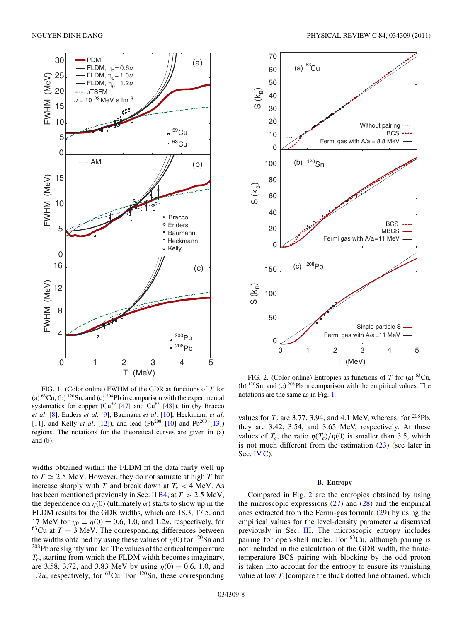<span id="page-7-0"></span>

FIG. 1. (Color online) FWHM of the GDR as functions of *T* for (a)  ${}^{63}Cu$ , (b)  ${}^{120}Sn$ , and (c)  ${}^{208}Pb$  in comparison with the experimental systematics for copper  $(Cu^{59}$  [\[47\]](#page-11-0) and  $Cu^{63}$  [\[48\]](#page-11-0)), tin (by Bracco *et al.* [\[8\]](#page-10-0), Enders *et al.* [\[9\]](#page-10-0), Baumann *et al.* [\[10\]](#page-10-0), Heckmann *et al.* [\[11\]](#page-10-0), and Kelly *et al.* [\[12\]](#page-10-0)), and lead (Pb<sup>208</sup> [\[10\]](#page-10-0) and Pb<sup>200</sup> [\[13\]](#page-10-0)) regions. The notations for the theoretical curves are given in (a) and (b).

widths obtained within the FLDM fit the data fairly well up to  $T \simeq 2.5$  MeV. However, they do not saturate at high  $T$  but increase sharply with *T* and break down at  $T_c < 4$  MeV. As has been mentioned previously in Sec. [II B4,](#page-4-0) at *T >* 2*.*5 MeV, the dependence on  $\eta(0)$  (ultimately  $\alpha$ ) starts to show up in the FLDM results for the GDR widths, which are 18.3, 17.5, and 17 MeV for  $\eta_0 = \eta(0) = 0.6$ , 1.0, and 1.2*u*, respectively, for  $63$ Cu at  $T = 3$  MeV. The corresponding differences between the widths obtained by using these values of  $\eta(0)$  for <sup>120</sup>Sn and <sup>208</sup>Pb are slightly smaller. The values of the critical temperature *Tc*, starting from which the FLDM width becomes imaginary, are 3.58, 3.72, and 3.83 MeV by using  $\eta(0) = 0.6$ , 1.0, and 1.2*u*, respectively, for  $^{63}$ Cu. For  $^{120}$ Sn, these corresponding



FIG. 2. (Color online) Entropies as functions of *T* for (a) 63Cu, (b)  $120$ Sn, and (c)  $208$ Pb in comparison with the empirical values. The notations are the same as in Fig. 1.

values for  $T_c$  are 3.77, 3.94, and 4.1 MeV, whereas, for <sup>208</sup>Pb, they are 3.42, 3.54, and 3.65 MeV, respectively. At these values of  $T_c$ , the ratio  $\eta(T_c)/\eta(0)$  is smaller than 3.5, which is not much different from the estimation  $(23)$  (see later in Sec. [IV C\)](#page-8-0).

## **B. Entropy**

Compared in Fig. 2 are the entropies obtained by using the microscopic expressions  $(27)$  and  $(28)$  and the empirical ones extracted from the Fermi-gas formula [\(29\)](#page-6-0) by using the empirical values for the level-density parameter *a* discussed previously in Sec. [III.](#page-5-0) The microscopic entropy includes pairing for open-shell nuclei. For  ${}^{63}Cu$ , although pairing is not included in the calculation of the GDR width, the finitetemperature BCS pairing with blocking by the odd proton is taken into account for the entropy to ensure its vanishing value at low *T* [compare the thick dotted line obtained, which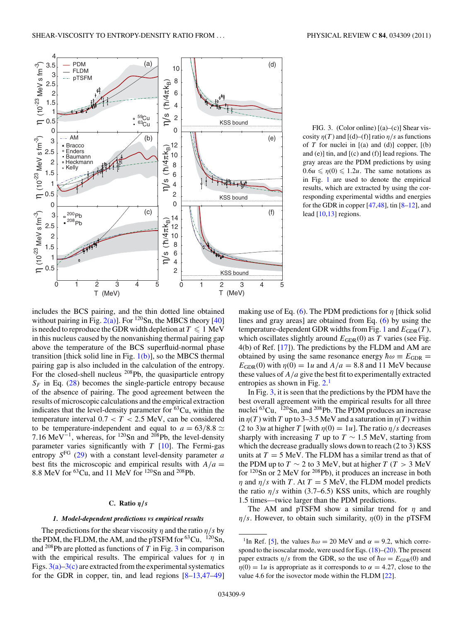<span id="page-8-0"></span>

FIG. 3. (Color online)  $[(a)-(c)]$  Shear viscosity  $\eta(T)$  and  $[(d)-(f)]$  ratio  $\eta/s$  as functions of  $T$  for nuclei in  $[(a)$  and  $(d)]$  copper,  $[(b)$ and (e)] tin, and [(c) and (f)] lead regions. The gray areas are the PDM predictions by using  $0.6u \leq \eta(0) \leq 1.2u$ . The same notations as in Fig. [1](#page-7-0) are used to denote the empirical results, which are extracted by using the corresponding experimental widths and energies for the GDR in copper  $[47, 48]$ , tin  $[8-12]$ , and lead [\[10,13\]](#page-10-0) regions.

includes the BCS pairing, and the thin dotted line obtained without pairing in Fig.  $2(a)$ ]. For <sup>120</sup>Sn, the MBCS theory [\[40\]](#page-11-0) is needed to reproduce the GDR width depletion at  $T\leqslant 1\;\text{MeV}$ in this nucleus caused by the nonvanishing thermal pairing gap above the temperature of the BCS superfluid-normal phase transition [thick solid line in Fig.  $1(b)$ ], so the MBCS thermal pairing gap is also included in the calculation of the entropy. For the closed-shell nucleus <sup>208</sup>Pb, the quasiparticle entropy  $S_F$  in Eq. [\(28\)](#page-6-0) becomes the single-particle entropy because of the absence of pairing. The good agreement between the results of microscopic calculations and the empirical extraction indicates that the level-density parameter for  ${}^{63}Cu$ , within the temperature interval  $0.7 < T < 2.5$  MeV, can be considered to be temperature-independent and equal to  $a = 63/8.8 \simeq$ 7.16 MeV<sup> $-1$ </sup>, whereas, for <sup>120</sup>Sn and <sup>208</sup>Pb, the level-density parameter varies significantly with *T* [\[10\]](#page-10-0). The Fermi-gas entropy  $S<sup>FG</sup>$  [\(29\)](#page-6-0) with a constant level-density parameter *a* best fits the microscopic and empirical results with  $A/a =$ 8*.*8 MeV for 63Cu, and 11 MeV for 120Sn and 208Pb.

## **C. Ratio** *η/s*

## *1. Model-dependent predictions vs empirical results*

The predictions for the shear viscosity  $\eta$  and the ratio  $\eta/s$  by the PDM, the FLDM, the AM, and the pTSFM for <sup>63</sup>Cu, <sup>120</sup>Sn, and  $^{208}$ Pb are plotted as functions of *T* in Fig. 3 in comparison with the empirical results. The empirical values for  $\eta$  in Figs.  $3(a)-3(c)$  are extracted from the experimental systematics for the GDR in copper, tin, and lead regions  $[8-13,47-49]$ 

making use of Eq. [\(6\)](#page-2-0). The PDM predictions for *η* [thick solid lines and gray areas] are obtained from Eq. [\(6\)](#page-2-0) by using the temperature-dependent GDR widths from Fig. [1](#page-7-0) and  $E_{GDR}(T)$ , which oscillates slightly around  $E_{GDR}(0)$  as *T* varies (see Fig. 4(b) of Ref. [\[17\]](#page-10-0)). The predictions by the FLDM and AM are obtained by using the same resonance energy  $\hbar \omega \equiv E_{GDR}$  =  $E_{GDR}(0)$  with  $\eta(0) = 1u$  and  $A/a = 8.8$  and 11 MeV because these values of *A/a* give the best fit to experimentally extracted entropies as shown in Fig.  $2<sup>1</sup>$ 

In Fig. 3, it is seen that the predictions by the PDM have the best overall agreement with the empirical results for all three nuclei <sup>63</sup>Cu, <sup>120</sup>Sn, and <sup>208</sup>Pb. The PDM produces an increase in  $\eta(T)$  with *T* up to 3–3.5 MeV and a saturation in  $\eta(T)$  within  $(2 \text{ to } 3)u$  at higher *T* [with  $n(0) = 1u$ ]. The ratio  $n/s$  decreases sharply with increasing *T* up to  $T \sim 1.5$  MeV, starting from which the decrease gradually slows down to reach (2 to 3) KSS units at  $T = 5$  MeV. The FLDM has a similar trend as that of the PDM up to  $T \sim 2$  to 3 MeV, but at higher  $T (T > 3$  MeV for 120Sn or 2 MeV for 208Pb), it produces an increase in both *η* and  $\eta/s$  with *T*. At *T* = 5 MeV, the FLDM model predicts the ratio  $\eta/s$  within (3.7–6.5) KSS units, which are roughly 1.5 times—twice larger than the PDM predictions.

The AM and pTSFM show a similar trend for *η* and *η/s*. However, to obtain such similarity, *η*(0) in the pTSFM

<sup>&</sup>lt;sup>1</sup>In Ref. [\[5\]](#page-10-0), the values  $\hbar \omega = 20$  MeV and  $\alpha = 9.2$ , which correspond to the isoscalar mode, were used for Eqs.  $(18)$ – $(20)$ . The present paper extracts  $\eta/s$  from the GDR, so the use of  $\hbar \omega = E_{GDR}(0)$  and  $η(0) = 1u$  is appropriate as it corresponds to  $α = 4.27$ , close to the value 4.6 for the isovector mode within the FLDM [\[22\]](#page-11-0).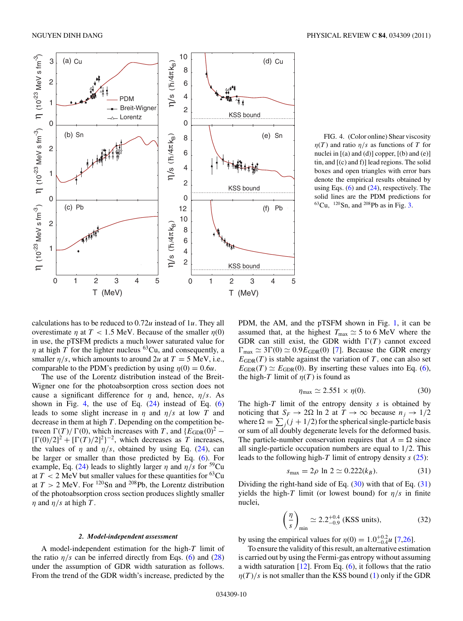<span id="page-9-0"></span>

FIG. 4. (Color online) Shear viscosity *η*(*T*) and ratio *η/s* as functions of *T* for nuclei in [(a) and (d)] copper, [(b) and (e)] tin, and [(c) and f)] lead regions. The solid boxes and open triangles with error bars denote the empirical results obtained by using Eqs.  $(6)$  and  $(24)$ , respectively. The solid lines are the PDM predictions for 63Cu*,* 120Sn, and 208Pb as in Fig. [3.](#page-8-0)

calculations has to be reduced to 0*.*72*u* instead of 1*u*. They all overestimate *η* at *T <* 1*.*5 MeV. Because of the smaller *η*(0) in use, the pTSFM predicts a much lower saturated value for *η* at high *T* for the lighter nucleus <sup>63</sup>Cu, and consequently, a smaller  $\eta/s$ , which amounts to around 2*u* at  $T = 5$  MeV, i.e., comparable to the PDM's prediction by using  $\eta(0) = 0.6u$ .

The use of the Lorentz distribution instead of the Breit-Wigner one for the photoabsorption cross section does not cause a significant difference for *η* and, hence, *η/s*. As shown in Fig. 4, the use of Eq.  $(24)$  instead of Eq.  $(6)$ leads to some slight increase in  $\eta$  and  $\eta/s$  at low *T* and decrease in them at high *T* . Depending on the competition between  $\Gamma(T) / \Gamma(0)$ , which increases with *T*, and  $\{E_{\text{GDR}}(0)^2 [\Gamma(0)/2]^2 + [\Gamma(T)/2]^2$ <sup>-2</sup>, which decreases as *T* increases, the values of  $\eta$  and  $\eta/s$ , obtained by using Eq. [\(24\)](#page-5-0), can be larger or smaller than those predicted by Eq. [\(6\)](#page-2-0). For example, Eq. [\(24\)](#page-5-0) leads to slightly larger  $\eta$  and  $\eta/s$  for <sup>59</sup>Cu at  $T < 2$  MeV but smaller values for these quantities for <sup>63</sup>Cu at  $T > 2$  MeV. For <sup>120</sup>Sn and <sup>208</sup>Pb, the Lorentz distribution of the photoabsorption cross section produces slightly smaller *η* and  $η/s$  at high *T*.

#### *2. Model-independent assessment*

A model-independent estimation for the high-*T* limit of the ratio  $\eta/s$  can be inferred directly from Eqs. [\(6\)](#page-2-0) and [\(28\)](#page-6-0) under the assumption of GDR width saturation as follows. From the trend of the GDR width's increase, predicted by the

PDM, the AM, and the pTSFM shown in Fig. [1,](#page-7-0) it can be assumed that, at the highest  $T_{\text{max}} \simeq 5$  to 6 MeV where the GDR can still exist, the GDR width  $\Gamma(T)$  cannot exceed  $\Gamma_{\text{max}} \simeq 3\Gamma(0) \simeq 0.9E_{\text{GDR}}(0)$  [\[7\]](#page-10-0). Because the GDR energy  $E_{GDR}(T)$  is stable against the variation of *T*, one can also set  $E_{GDR}(T) \simeq E_{GDR}(0)$ . By inserting these values into Eq. [\(6\)](#page-2-0), the high-*T* limit of  $\eta(T)$  is found as

$$
\eta_{\text{max}} \simeq 2.551 \times \eta(0). \tag{30}
$$

The high-*T* limit of the entropy density *s* is obtained by noticing that  $S_F \to 2\Omega$  ln 2 at  $T \to \infty$  because  $n_j \to 1/2$ where  $\Omega = \sum_j (j + 1/2)$  for the spherical single-particle basis or sum of all doubly degenerate levels for the deformed basis. The particle-number conservation requires that  $A = \Omega$  since all single-particle occupation numbers are equal to 1*/*2. This leads to the following high-*T* limit of entropy density *s* [\(25\)](#page-5-0):

$$
s_{\text{max}} = 2\rho \ln 2 \simeq 0.222(k_B). \tag{31}
$$

Dividing the right-hand side of Eq. (30) with that of Eq. (31) yields the high-*T* limit (or lowest bound) for  $\eta/s$  in finite nuclei,

$$
\left(\frac{\eta}{s}\right)_{\text{min}} \simeq 2.2^{+0.4}_{-0.9}
$$
 (KSS units), (32)

by using the empirical values for  $\eta(0) = 1.0^{+0.2}_{-0.4}$  *u* [\[7](#page-10-0)[,26\]](#page-11-0).

To ensure the validity of this result, an alternative estimation is carried out by using the Fermi-gas entropy without assuming a width saturation  $[12]$ . From Eq.  $(6)$ , it follows that the ratio  $\eta(T)/s$  is not smaller than the KSS bound [\(1\)](#page-0-0) only if the GDR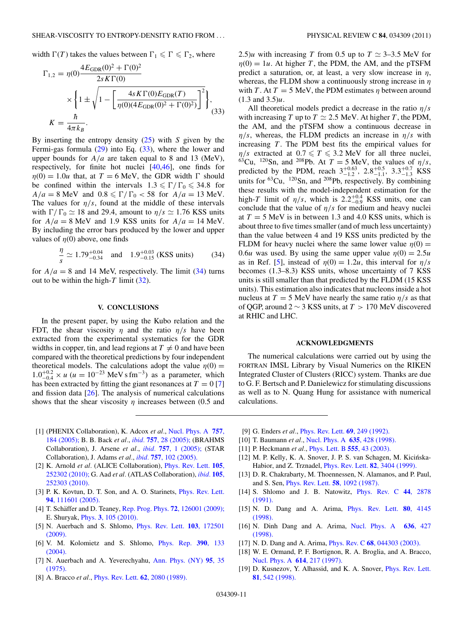<span id="page-10-0"></span>width  $\Gamma(T)$  takes the values between  $\Gamma_1 \leq \Gamma \leq \Gamma_2$ , where

$$
\Gamma_{1,2} = \eta(0) \frac{4E_{\text{GDR}}(0)^2 + \Gamma(0)^2}{2s K \Gamma(0)}
$$

$$
\times \left\{ 1 \pm \sqrt{1 - \left[ \frac{4s K \Gamma(0) E_{\text{GDR}}(T)}{\eta(0) (4 E_{\text{GDR}}(0)^2 + \Gamma(0)^2)} \right]^2} \right\},\
$$

$$
K = \frac{\hbar}{4\pi k_B}.
$$
(33)

By inserting the entropy density [\(25\)](#page-5-0) with *S* given by the Fermi-gas formula [\(29\)](#page-6-0) into Eq. (33), where the lower and upper bounds for *A/a* are taken equal to 8 and 13 (MeV), respectively, for finite hot nuclei [\[40,46\]](#page-11-0), one finds for  $\eta(0) = 1.0u$  that, at  $T = 6$  MeV, the GDR width  $\Gamma$  should be confined within the intervals  $1.3 \le \Gamma / \Gamma_0 \le 34.8$  for  $A/a = 8$  MeV and  $0.8 \le \Gamma/\Gamma_0 < 58$  for  $A/a = 13$  MeV. The values for  $\eta/s$ , found at the middle of these intervals with  $\Gamma/\Gamma_0 \simeq 18$  and 29.4, amount to  $\eta/s \simeq 1.76$  KSS units for  $A/a = 8$  MeV and 1.9 KSS units for  $A/a = 14$  MeV. By including the error bars produced by the lower and upper values of  $\eta(0)$  above, one finds

$$
\frac{\eta}{s} \simeq 1.79^{+0.04}_{-0.34} \quad \text{and} \quad 1.9^{+0.03}_{-0.15} \text{ (KSS units)} \tag{34}
$$

for  $A/a = 8$  and 14 MeV, respectively. The limit (34) turns out to be within the high- $T$  limit [\(32\)](#page-9-0).

## **V. CONCLUSIONS**

In the present paper, by using the Kubo relation and the FDT, the shear viscosity  $\eta$  and the ratio  $\eta/s$  have been extracted from the experimental systematics for the GDR widths in copper, tin, and lead regions at  $T \neq 0$  and have been compared with the theoretical predictions by four independent theoretical models. The calculations adopt the value  $\eta(0)$  =  $1.0^{+0.2}_{-0.4} \times u$  ( $u = 10^{-23}$  MeV s fm<sup>-3</sup>) as a parameter, which has been extracted by fitting the giant resonances at  $T = 0$  [7] and fission data  $[26]$ . The analysis of numerical calculations shows that the shear viscosity *η* increases between (0.5 and

2.5)*u* with increasing *T* from 0.5 up to  $T \approx 3{\text -}3.5$  MeV for  $\eta(0) = 1u$ . At higher *T*, the PDM, the AM, and the pTSFM predict a saturation, or, at least, a very slow increase in *η*, whereas, the FLDM show a continuously strong increase in *η* with *T*. At  $T = 5$  MeV, the PDM estimates  $\eta$  between around (1.3 and 3.5)*u*.

All theoretical models predict a decrease in the ratio *η/s* with increasing *T* up to  $T \simeq 2.5$  MeV. At higher *T*, the PDM, the AM, and the pTSFM show a continuous decrease in *η/s*, whereas, the FLDM predicts an increase in *η/s* with increasing *T*. The PDM best fits the empirical values for *η/s* extracted at  $0.7 \le T \le 3.2$  MeV for all three nuclei, <sup>63</sup>Cu, <sup>120</sup>Sn, and <sup>208</sup>Pb. At  $T = 5$  MeV, the values of  $\eta/s$ , predicted by the PDM, reach  $3^{+0.63}_{-1.2}$ ,  $2.8^{+0.5}_{-1.1}$ ,  $3.3^{+0.7}_{-1.3}$  KSS units for <sup>63</sup>Cu, <sup>120</sup>Sn, and <sup>208</sup>Pb, respectively. By combining these results with the model-independent estimation for the high-*T* limit of  $\eta/s$ , which is  $2.2^{+0.4}_{-0.9}$  KSS units, one can conclude that the value of  $\eta/s$  for medium and heavy nuclei at  $T = 5$  MeV is in between 1.3 and 4.0 KSS units, which is about three to five times smaller (and of much less uncertainty) than the value between 4 and 19 KSS units predicted by the FLDM for heavy nuclei where the same lower value  $n(0)$  = 0.6*u* was used. By using the same upper value  $\eta(0) = 2.5u$ as in Ref. [5], instead of  $\eta(0) = 1.2u$ , this interval for  $\eta/s$ becomes (1.3–8.3) KSS units, whose uncertainty of 7 KSS units is still smaller than that predicted by the FLDM (15 KSS units). This estimation also indicates that nucleons inside a hot nucleus at  $T = 5$  MeV have nearly the same ratio  $\eta/s$  as that of QGP, around 2 ∼ 3 KSS units, at *T >* 170 MeV discovered at RHIC and LHC.

#### **ACKNOWLEDGMENTS**

The numerical calculations were carried out by using the FORTRAN IMSL Library by Visual Numerics on the RIKEN Integrated Cluster of Clusters (RICC) system. Thanks are due to G. F. Bertsch and P. Danielewicz for stimulating discussions as well as to N. Quang Hung for assistance with numerical calculations.

- [1] (PHENIX Collaboration), K. Adcox *et al.*, [Nucl. Phys. A](http://dx.doi.org/10.1016/j.nuclphysa.2005.03.086) **757**, [184 \(2005\);](http://dx.doi.org/10.1016/j.nuclphysa.2005.03.086) B. B. Back *et al.*, *ibid.* **757**[, 28 \(2005\);](http://dx.doi.org/10.1016/j.nuclphysa.2005.03.084) (BRAHMS Collaboration), J. Arsene *et al.*, *ibid.* **757**[, 1 \(2005\);](http://dx.doi.org/10.1016/j.nuclphysa.2005.02.130) (STAR Collaboration), J. Adams *et al.*, *ibid.* **757**[, 102 \(2005\).](http://dx.doi.org/10.1016/j.nuclphysa.2005.03.085)
- [2] K. Arnold *et al.* (ALICE Collaboration), [Phys. Rev. Lett.](http://dx.doi.org/10.1103/PhysRevLett.105.252302) **105**, [252302 \(2010\);](http://dx.doi.org/10.1103/PhysRevLett.105.252302) G. Aad *et al.* (ATLAS Collaboration), *[ibid.](http://dx.doi.org/10.1103/PhysRevLett.105.252303)* **105**, [252303 \(2010\).](http://dx.doi.org/10.1103/PhysRevLett.105.252303)
- [3] P. K. Kovtun, D. T. Son, and A. O. Starinets, [Phys. Rev. Lett.](http://dx.doi.org/10.1103/PhysRevLett.94.111601) **94**[, 111601 \(2005\).](http://dx.doi.org/10.1103/PhysRevLett.94.111601)
- [4] T. Schäffer and D. Teaney, Rep. Prog. Phys. 72[, 126001 \(2009\);](http://dx.doi.org/10.1088/0034-4885/72/12/126001) E. Shuryak, Phys. **3**[, 105 \(2010\).](http://dx.doi.org/10.1103/Physics.3.105)
- [5] N. Auerbach and S. Shlomo, [Phys. Rev. Lett.](http://dx.doi.org/10.1103/PhysRevLett.103.172501) **103**, 172501 [\(2009\).](http://dx.doi.org/10.1103/PhysRevLett.103.172501)
- [6] V. M. Kolomietz and S. Shlomo, [Phys. Rep.](http://dx.doi.org/10.1016/j.physrep.2003.10.013) **390**, 133 [\(2004\).](http://dx.doi.org/10.1016/j.physrep.2003.10.013)
- [7] N. Auerbach and A. Yeverechyahu, [Ann. Phys. \(NY\)](http://dx.doi.org/10.1016/0003-4916(75)90042-1) **95**, 35 [\(1975\).](http://dx.doi.org/10.1016/0003-4916(75)90042-1)
- [8] A. Bracco *et al.*, [Phys. Rev. Lett.](http://dx.doi.org/10.1103/PhysRevLett.62.2080) **62**, 2080 (1989).
- [9] G. Enders *et al.*, [Phys. Rev. Lett.](http://dx.doi.org/10.1103/PhysRevLett.69.249) **69**, 249 (1992).
- [10] T. Baumann *et al.*, [Nucl. Phys. A](http://dx.doi.org/10.1016/S0375-9474(98)00197-3) **635**, 428 (1998).
- [11] P. Heckmann *et al.*, [Phys. Lett. B](http://dx.doi.org/10.1016/S0370-2693(03)00017-0) **555**, 43 (2003).
- [12] M. P. Kelly, K. A. Snover, J. P. S. van Schagen, M. Kicińska-Habior, and Z. Trznadel, [Phys. Rev. Lett.](http://dx.doi.org/10.1103/PhysRevLett.82.3404) **82**, 3404 (1999).
- [13] D. R. Chakrabarty, M. Thoennessen, N. Alamanos, and P. Paul, and S. Sen, [Phys. Rev. Lett.](http://dx.doi.org/10.1103/PhysRevLett.58.1092) **58**, 1092 (1987).
- [14] S. Shlomo and J. B. Natowitz, [Phys. Rev. C](http://dx.doi.org/10.1103/PhysRevC.44.2878) **44**, 2878 [\(1991\).](http://dx.doi.org/10.1103/PhysRevC.44.2878)
- [15] N. D. Dang and A. Arima, [Phys. Rev. Lett.](http://dx.doi.org/10.1103/PhysRevLett.80.4145) **80**, 4145 [\(1998\).](http://dx.doi.org/10.1103/PhysRevLett.80.4145)
- [16] N. Dinh Dang and A. Arima, [Nucl. Phys. A](http://dx.doi.org/10.1016/S0375-9474(98)00211-5) **636**, 427 [\(1998\).](http://dx.doi.org/10.1016/S0375-9474(98)00211-5)
- [17] N. D. Dang and A. Arima, Phys. Rev. C **68**[, 044303 \(2003\).](http://dx.doi.org/10.1103/PhysRevC.68.044303)
- [18] W. E. Ormand, P. F. Bortignon, R. A. Broglia, and A. Bracco, [Nucl. Phys. A](http://dx.doi.org/10.1016/S0375-9474(96)00464-2) **614**, 217 (1997).
- [19] D. Kusnezov, Y. Alhassid, and K. A. Snover, *[Phys. Rev. Lett.](http://dx.doi.org/10.1103/PhysRevLett.81.542)* **81**[, 542 \(1998\).](http://dx.doi.org/10.1103/PhysRevLett.81.542)